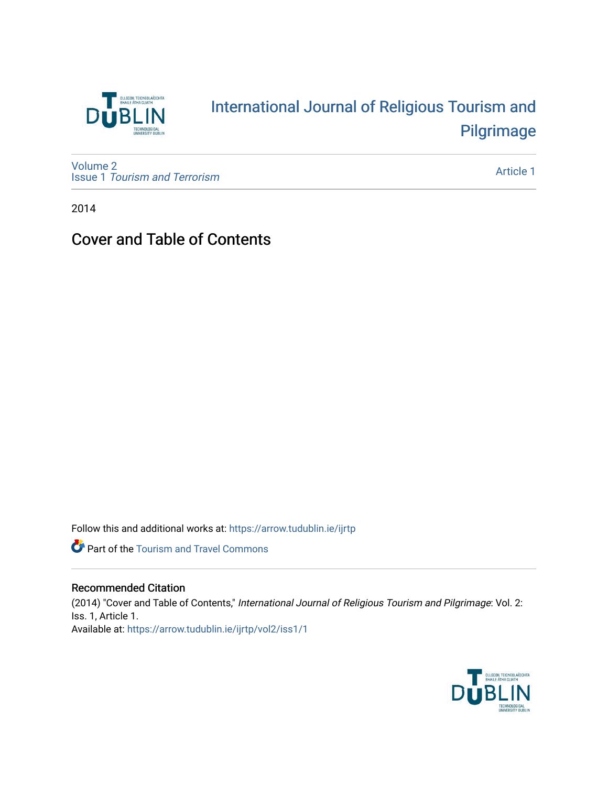

## [International Journal of Religious Tourism and](https://arrow.tudublin.ie/ijrtp)  [Pilgrimage](https://arrow.tudublin.ie/ijrtp)

[Volume 2](https://arrow.tudublin.ie/ijrtp/vol2) Issue 1 [Tourism and Terrorism](https://arrow.tudublin.ie/ijrtp/vol2/iss1) 

[Article 1](https://arrow.tudublin.ie/ijrtp/vol2/iss1/1) 

2014

## Cover and Table of Contents

Follow this and additional works at: [https://arrow.tudublin.ie/ijrtp](https://arrow.tudublin.ie/ijrtp?utm_source=arrow.tudublin.ie%2Fijrtp%2Fvol2%2Fiss1%2F1&utm_medium=PDF&utm_campaign=PDFCoverPages)



## Recommended Citation

(2014) "Cover and Table of Contents," International Journal of Religious Tourism and Pilgrimage: Vol. 2: Iss. 1, Article 1. Available at: [https://arrow.tudublin.ie/ijrtp/vol2/iss1/1](https://arrow.tudublin.ie/ijrtp/vol2/iss1/1?utm_source=arrow.tudublin.ie%2Fijrtp%2Fvol2%2Fiss1%2F1&utm_medium=PDF&utm_campaign=PDFCoverPages)

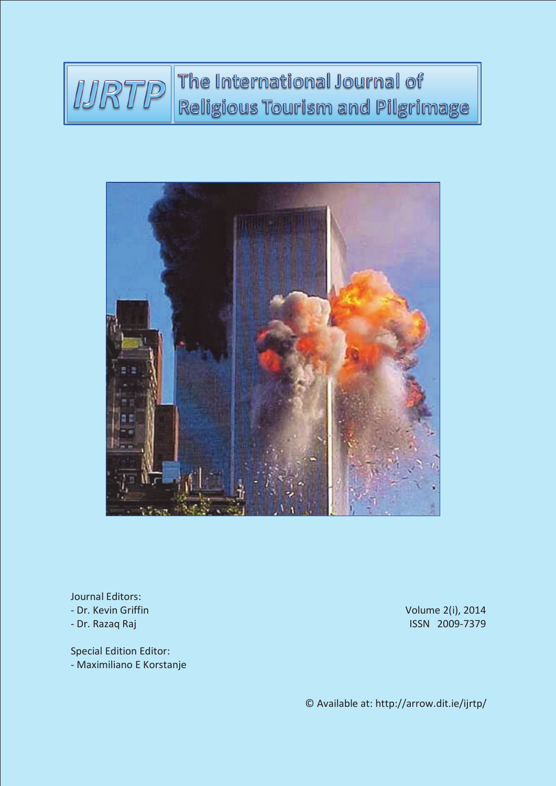



Journal Editors: - Dr. Kevin Griffin - Dr. Razaq Raj

Special Edition Editor: - Maximiliano E Korstanje Volume 2(i), 2014 ISSN 2009-7379

© Available at: http://arrow.dit.ie/ijrtp/